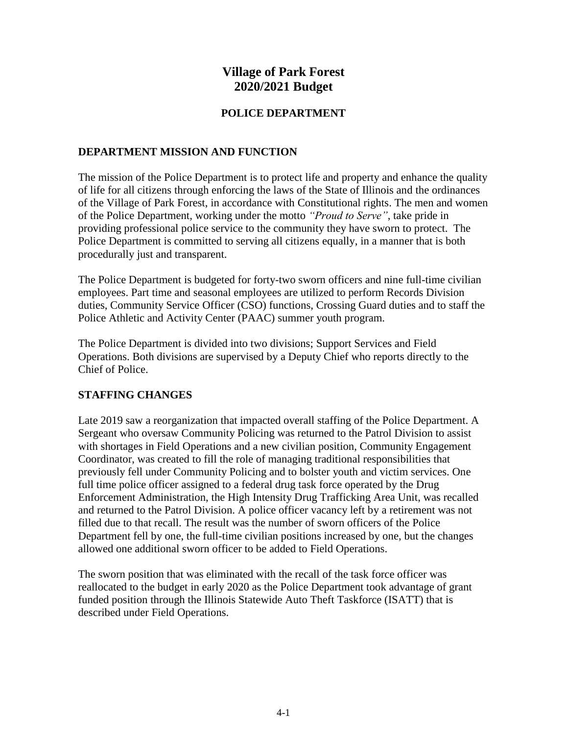# **Village of Park Forest 2020/2021 Budget**

### **POLICE DEPARTMENT**

#### **DEPARTMENT MISSION AND FUNCTION**

The mission of the Police Department is to protect life and property and enhance the quality of life for all citizens through enforcing the laws of the State of Illinois and the ordinances of the Village of Park Forest, in accordance with Constitutional rights. The men and women of the Police Department, working under the motto *"Proud to Serve"*, take pride in providing professional police service to the community they have sworn to protect. The Police Department is committed to serving all citizens equally, in a manner that is both procedurally just and transparent.

The Police Department is budgeted for forty-two sworn officers and nine full-time civilian employees. Part time and seasonal employees are utilized to perform Records Division duties, Community Service Officer (CSO) functions, Crossing Guard duties and to staff the Police Athletic and Activity Center (PAAC) summer youth program.

The Police Department is divided into two divisions; Support Services and Field Operations. Both divisions are supervised by a Deputy Chief who reports directly to the Chief of Police.

### **STAFFING CHANGES**

Late 2019 saw a reorganization that impacted overall staffing of the Police Department. A Sergeant who oversaw Community Policing was returned to the Patrol Division to assist with shortages in Field Operations and a new civilian position, Community Engagement Coordinator, was created to fill the role of managing traditional responsibilities that previously fell under Community Policing and to bolster youth and victim services. One full time police officer assigned to a federal drug task force operated by the Drug Enforcement Administration, the High Intensity Drug Trafficking Area Unit, was recalled and returned to the Patrol Division. A police officer vacancy left by a retirement was not filled due to that recall. The result was the number of sworn officers of the Police Department fell by one, the full-time civilian positions increased by one, but the changes allowed one additional sworn officer to be added to Field Operations.

The sworn position that was eliminated with the recall of the task force officer was reallocated to the budget in early 2020 as the Police Department took advantage of grant funded position through the Illinois Statewide Auto Theft Taskforce (ISATT) that is described under Field Operations.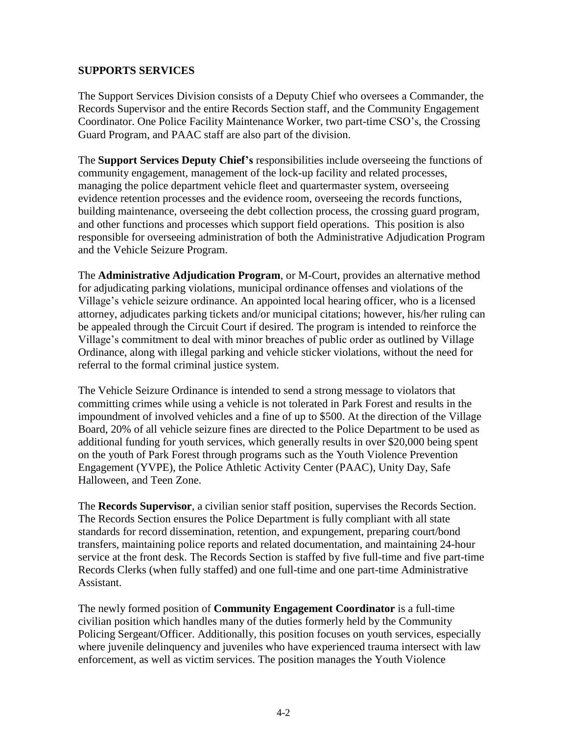### **SUPPORTS SERVICES**

The Support Services Division consists of a Deputy Chief who oversees a Commander, the Records Supervisor and the entire Records Section staff, and the Community Engagement Coordinator. One Police Facility Maintenance Worker, two part-time CSO's, the Crossing Guard Program, and PAAC staff are also part of the division.

The **Support Services Deputy Chief's** responsibilities include overseeing the functions of community engagement, management of the lock-up facility and related processes, managing the police department vehicle fleet and quartermaster system, overseeing evidence retention processes and the evidence room, overseeing the records functions, building maintenance, overseeing the debt collection process, the crossing guard program, and other functions and processes which support field operations. This position is also responsible for overseeing administration of both the Administrative Adjudication Program and the Vehicle Seizure Program.

The **Administrative Adjudication Program**, or M-Court, provides an alternative method for adjudicating parking violations, municipal ordinance offenses and violations of the Village's vehicle seizure ordinance. An appointed local hearing officer, who is a licensed attorney, adjudicates parking tickets and/or municipal citations; however, his/her ruling can be appealed through the Circuit Court if desired. The program is intended to reinforce the Village's commitment to deal with minor breaches of public order as outlined by Village Ordinance, along with illegal parking and vehicle sticker violations, without the need for referral to the formal criminal justice system.

The Vehicle Seizure Ordinance is intended to send a strong message to violators that committing crimes while using a vehicle is not tolerated in Park Forest and results in the impoundment of involved vehicles and a fine of up to \$500. At the direction of the Village Board, 20% of all vehicle seizure fines are directed to the Police Department to be used as additional funding for youth services, which generally results in over \$20,000 being spent on the youth of Park Forest through programs such as the Youth Violence Prevention Engagement (YVPE), the Police Athletic Activity Center (PAAC), Unity Day, Safe Halloween, and Teen Zone.

The **Records Supervisor**, a civilian senior staff position, supervises the Records Section. The Records Section ensures the Police Department is fully compliant with all state standards for record dissemination, retention, and expungement, preparing court/bond transfers, maintaining police reports and related documentation, and maintaining 24-hour service at the front desk. The Records Section is staffed by five full-time and five part-time Records Clerks (when fully staffed) and one full-time and one part-time Administrative Assistant.

The newly formed position of **Community Engagement Coordinator** is a full-time civilian position which handles many of the duties formerly held by the Community Policing Sergeant/Officer. Additionally, this position focuses on youth services, especially where juvenile delinquency and juveniles who have experienced trauma intersect with law enforcement, as well as victim services. The position manages the Youth Violence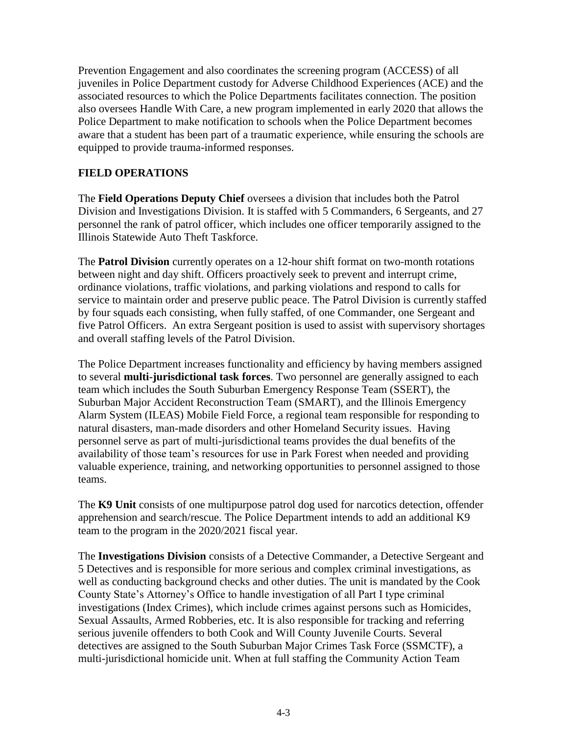Prevention Engagement and also coordinates the screening program (ACCESS) of all juveniles in Police Department custody for Adverse Childhood Experiences (ACE) and the associated resources to which the Police Departments facilitates connection. The position also oversees Handle With Care, a new program implemented in early 2020 that allows the Police Department to make notification to schools when the Police Department becomes aware that a student has been part of a traumatic experience, while ensuring the schools are equipped to provide trauma-informed responses.

# **FIELD OPERATIONS**

The **Field Operations Deputy Chief** oversees a division that includes both the Patrol Division and Investigations Division. It is staffed with 5 Commanders, 6 Sergeants, and 27 personnel the rank of patrol officer, which includes one officer temporarily assigned to the Illinois Statewide Auto Theft Taskforce.

The **Patrol Division** currently operates on a 12-hour shift format on two-month rotations between night and day shift. Officers proactively seek to prevent and interrupt crime, ordinance violations, traffic violations, and parking violations and respond to calls for service to maintain order and preserve public peace. The Patrol Division is currently staffed by four squads each consisting, when fully staffed, of one Commander, one Sergeant and five Patrol Officers. An extra Sergeant position is used to assist with supervisory shortages and overall staffing levels of the Patrol Division.

The Police Department increases functionality and efficiency by having members assigned to several **multi-jurisdictional task forces**. Two personnel are generally assigned to each team which includes the South Suburban Emergency Response Team (SSERT), the Suburban Major Accident Reconstruction Team (SMART), and the Illinois Emergency Alarm System (ILEAS) Mobile Field Force, a regional team responsible for responding to natural disasters, man-made disorders and other Homeland Security issues. Having personnel serve as part of multi-jurisdictional teams provides the dual benefits of the availability of those team's resources for use in Park Forest when needed and providing valuable experience, training, and networking opportunities to personnel assigned to those teams.

The **K9 Unit** consists of one multipurpose patrol dog used for narcotics detection, offender apprehension and search/rescue. The Police Department intends to add an additional K9 team to the program in the 2020/2021 fiscal year.

The **Investigations Division** consists of a Detective Commander, a Detective Sergeant and 5 Detectives and is responsible for more serious and complex criminal investigations, as well as conducting background checks and other duties. The unit is mandated by the Cook County State's Attorney's Office to handle investigation of all Part I type criminal investigations (Index Crimes), which include crimes against persons such as Homicides, Sexual Assaults, Armed Robberies, etc. It is also responsible for tracking and referring serious juvenile offenders to both Cook and Will County Juvenile Courts. Several detectives are assigned to the South Suburban Major Crimes Task Force (SSMCTF), a multi-jurisdictional homicide unit. When at full staffing the Community Action Team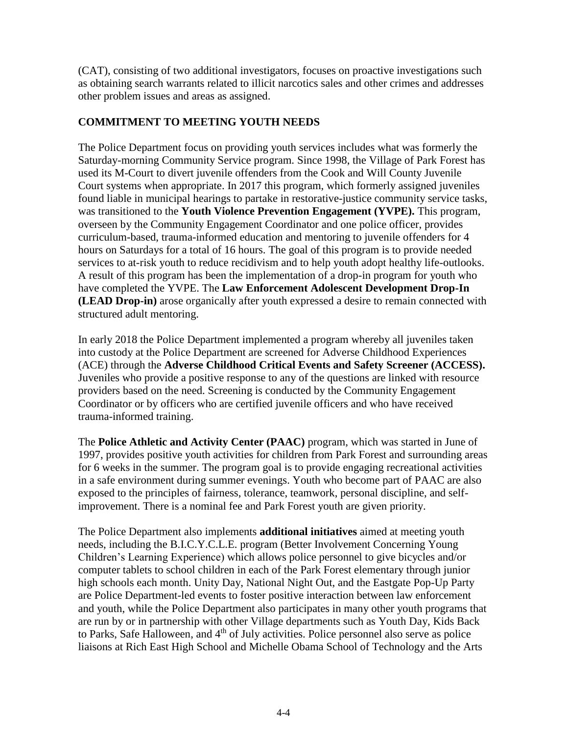(CAT), consisting of two additional investigators, focuses on proactive investigations such as obtaining search warrants related to illicit narcotics sales and other crimes and addresses other problem issues and areas as assigned.

# **COMMITMENT TO MEETING YOUTH NEEDS**

The Police Department focus on providing youth services includes what was formerly the Saturday-morning Community Service program. Since 1998, the Village of Park Forest has used its M-Court to divert juvenile offenders from the Cook and Will County Juvenile Court systems when appropriate. In 2017 this program, which formerly assigned juveniles found liable in municipal hearings to partake in restorative-justice community service tasks, was transitioned to the **Youth Violence Prevention Engagement (YVPE).** This program, overseen by the Community Engagement Coordinator and one police officer, provides curriculum-based, trauma-informed education and mentoring to juvenile offenders for 4 hours on Saturdays for a total of 16 hours. The goal of this program is to provide needed services to at-risk youth to reduce recidivism and to help youth adopt healthy life-outlooks. A result of this program has been the implementation of a drop-in program for youth who have completed the YVPE. The **Law Enforcement Adolescent Development Drop-In (LEAD Drop-in)** arose organically after youth expressed a desire to remain connected with structured adult mentoring.

In early 2018 the Police Department implemented a program whereby all juveniles taken into custody at the Police Department are screened for Adverse Childhood Experiences (ACE) through the **Adverse Childhood Critical Events and Safety Screener (ACCESS).** Juveniles who provide a positive response to any of the questions are linked with resource providers based on the need. Screening is conducted by the Community Engagement Coordinator or by officers who are certified juvenile officers and who have received trauma-informed training.

The **Police Athletic and Activity Center (PAAC)** program, which was started in June of 1997, provides positive youth activities for children from Park Forest and surrounding areas for 6 weeks in the summer. The program goal is to provide engaging recreational activities in a safe environment during summer evenings. Youth who become part of PAAC are also exposed to the principles of fairness, tolerance, teamwork, personal discipline, and selfimprovement. There is a nominal fee and Park Forest youth are given priority.

The Police Department also implements **additional initiatives** aimed at meeting youth needs, including the B.I.C.Y.C.L.E. program (Better Involvement Concerning Young Children's Learning Experience) which allows police personnel to give bicycles and/or computer tablets to school children in each of the Park Forest elementary through junior high schools each month. Unity Day, National Night Out, and the Eastgate Pop-Up Party are Police Department-led events to foster positive interaction between law enforcement and youth, while the Police Department also participates in many other youth programs that are run by or in partnership with other Village departments such as Youth Day, Kids Back to Parks, Safe Halloween, and 4<sup>th</sup> of July activities. Police personnel also serve as police liaisons at Rich East High School and Michelle Obama School of Technology and the Arts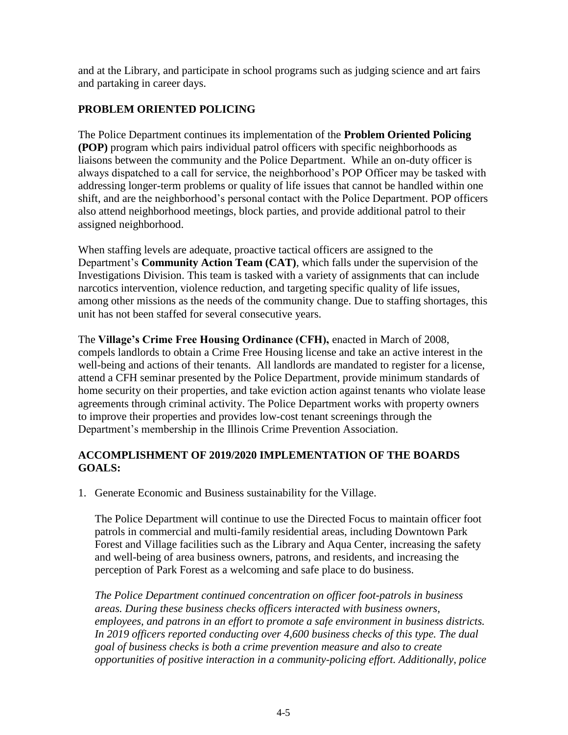and at the Library, and participate in school programs such as judging science and art fairs and partaking in career days.

# **PROBLEM ORIENTED POLICING**

The Police Department continues its implementation of the **Problem Oriented Policing (POP)** program which pairs individual patrol officers with specific neighborhoods as liaisons between the community and the Police Department. While an on-duty officer is always dispatched to a call for service, the neighborhood's POP Officer may be tasked with addressing longer-term problems or quality of life issues that cannot be handled within one shift, and are the neighborhood's personal contact with the Police Department. POP officers also attend neighborhood meetings, block parties, and provide additional patrol to their assigned neighborhood.

When staffing levels are adequate, proactive tactical officers are assigned to the Department's **Community Action Team (CAT)**, which falls under the supervision of the Investigations Division. This team is tasked with a variety of assignments that can include narcotics intervention, violence reduction, and targeting specific quality of life issues, among other missions as the needs of the community change. Due to staffing shortages, this unit has not been staffed for several consecutive years.

The **Village's Crime Free Housing Ordinance (CFH),** enacted in March of 2008, compels landlords to obtain a Crime Free Housing license and take an active interest in the well-being and actions of their tenants. All landlords are mandated to register for a license, attend a CFH seminar presented by the Police Department, provide minimum standards of home security on their properties, and take eviction action against tenants who violate lease agreements through criminal activity. The Police Department works with property owners to improve their properties and provides low-cost tenant screenings through the Department's membership in the Illinois Crime Prevention Association.

# **ACCOMPLISHMENT OF 2019/2020 IMPLEMENTATION OF THE BOARDS GOALS:**

1. Generate Economic and Business sustainability for the Village.

The Police Department will continue to use the Directed Focus to maintain officer foot patrols in commercial and multi-family residential areas, including Downtown Park Forest and Village facilities such as the Library and Aqua Center, increasing the safety and well-being of area business owners, patrons, and residents, and increasing the perception of Park Forest as a welcoming and safe place to do business.

*The Police Department continued concentration on officer foot-patrols in business areas. During these business checks officers interacted with business owners, employees, and patrons in an effort to promote a safe environment in business districts. In 2019 officers reported conducting over 4,600 business checks of this type. The dual goal of business checks is both a crime prevention measure and also to create opportunities of positive interaction in a community-policing effort. Additionally, police*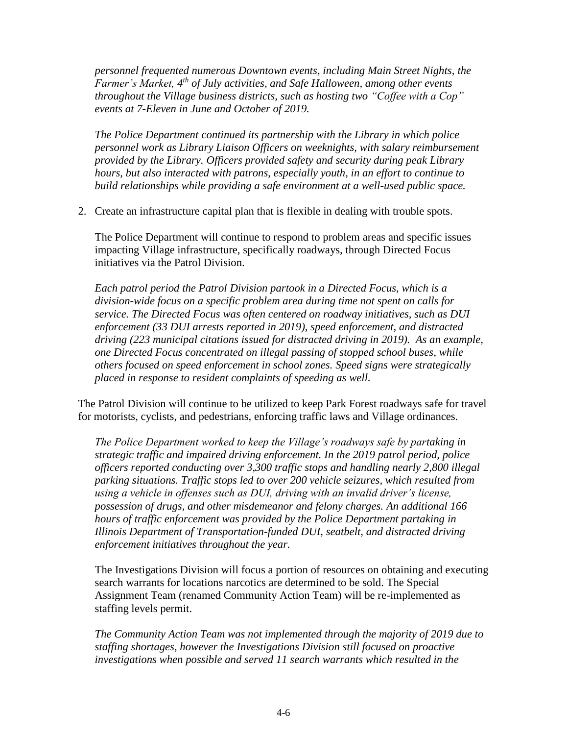*personnel frequented numerous Downtown events, including Main Street Nights, the Farmer's Market, 4 th of July activities, and Safe Halloween, among other events throughout the Village business districts, such as hosting two "Coffee with a Cop" events at 7-Eleven in June and October of 2019.* 

*The Police Department continued its partnership with the Library in which police personnel work as Library Liaison Officers on weeknights, with salary reimbursement provided by the Library. Officers provided safety and security during peak Library hours, but also interacted with patrons, especially youth, in an effort to continue to build relationships while providing a safe environment at a well-used public space.* 

2. Create an infrastructure capital plan that is flexible in dealing with trouble spots.

The Police Department will continue to respond to problem areas and specific issues impacting Village infrastructure, specifically roadways, through Directed Focus initiatives via the Patrol Division.

*Each patrol period the Patrol Division partook in a Directed Focus, which is a division-wide focus on a specific problem area during time not spent on calls for service. The Directed Focus was often centered on roadway initiatives, such as DUI enforcement (33 DUI arrests reported in 2019), speed enforcement, and distracted driving (223 municipal citations issued for distracted driving in 2019). As an example, one Directed Focus concentrated on illegal passing of stopped school buses, while others focused on speed enforcement in school zones. Speed signs were strategically placed in response to resident complaints of speeding as well.*

The Patrol Division will continue to be utilized to keep Park Forest roadways safe for travel for motorists, cyclists, and pedestrians, enforcing traffic laws and Village ordinances.

*The Police Department worked to keep the Village's roadways safe by partaking in strategic traffic and impaired driving enforcement. In the 2019 patrol period, police officers reported conducting over 3,300 traffic stops and handling nearly 2,800 illegal parking situations. Traffic stops led to over 200 vehicle seizures, which resulted from using a vehicle in offenses such as DUI, driving with an invalid driver's license, possession of drugs, and other misdemeanor and felony charges. An additional 166 hours of traffic enforcement was provided by the Police Department partaking in Illinois Department of Transportation-funded DUI, seatbelt, and distracted driving enforcement initiatives throughout the year.* 

The Investigations Division will focus a portion of resources on obtaining and executing search warrants for locations narcotics are determined to be sold. The Special Assignment Team (renamed Community Action Team) will be re-implemented as staffing levels permit.

*The Community Action Team was not implemented through the majority of 2019 due to staffing shortages, however the Investigations Division still focused on proactive investigations when possible and served 11 search warrants which resulted in the*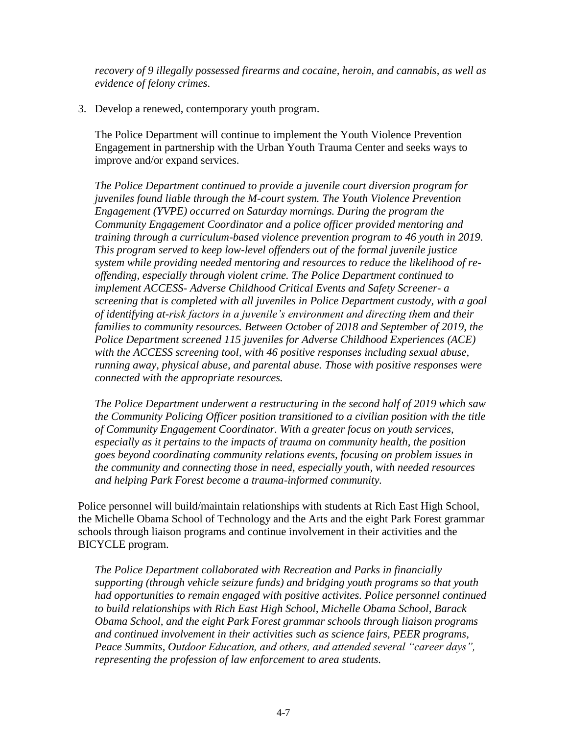*recovery of 9 illegally possessed firearms and cocaine, heroin, and cannabis, as well as evidence of felony crimes.* 

3. Develop a renewed, contemporary youth program.

The Police Department will continue to implement the Youth Violence Prevention Engagement in partnership with the Urban Youth Trauma Center and seeks ways to improve and/or expand services.

*The Police Department continued to provide a juvenile court diversion program for juveniles found liable through the M-court system. The Youth Violence Prevention Engagement (YVPE) occurred on Saturday mornings. During the program the Community Engagement Coordinator and a police officer provided mentoring and training through a curriculum-based violence prevention program to 46 youth in 2019. This program served to keep low-level offenders out of the formal juvenile justice system while providing needed mentoring and resources to reduce the likelihood of reoffending, especially through violent crime. The Police Department continued to implement ACCESS- Adverse Childhood Critical Events and Safety Screener- a screening that is completed with all juveniles in Police Department custody, with a goal of identifying at-risk factors in a juvenile's environment and directing them and their families to community resources. Between October of 2018 and September of 2019, the Police Department screened 115 juveniles for Adverse Childhood Experiences (ACE) with the ACCESS screening tool, with 46 positive responses including sexual abuse, running away, physical abuse, and parental abuse. Those with positive responses were connected with the appropriate resources.*

*The Police Department underwent a restructuring in the second half of 2019 which saw the Community Policing Officer position transitioned to a civilian position with the title of Community Engagement Coordinator. With a greater focus on youth services, especially as it pertains to the impacts of trauma on community health, the position goes beyond coordinating community relations events, focusing on problem issues in the community and connecting those in need, especially youth, with needed resources and helping Park Forest become a trauma-informed community.* 

Police personnel will build/maintain relationships with students at Rich East High School, the Michelle Obama School of Technology and the Arts and the eight Park Forest grammar schools through liaison programs and continue involvement in their activities and the BICYCLE program.

*The Police Department collaborated with Recreation and Parks in financially supporting (through vehicle seizure funds) and bridging youth programs so that youth had opportunities to remain engaged with positive activites. Police personnel continued to build relationships with Rich East High School, Michelle Obama School, Barack Obama School, and the eight Park Forest grammar schools through liaison programs and continued involvement in their activities such as science fairs, PEER programs, Peace Summits, Outdoor Education, and others, and attended several "career days", representing the profession of law enforcement to area students.*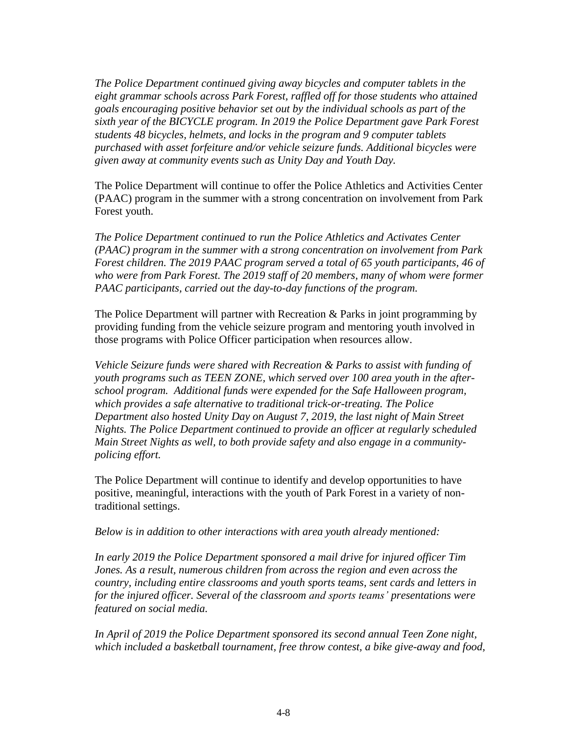*The Police Department continued giving away bicycles and computer tablets in the eight grammar schools across Park Forest, raffled off for those students who attained goals encouraging positive behavior set out by the individual schools as part of the sixth year of the BICYCLE program. In 2019 the Police Department gave Park Forest students 48 bicycles, helmets, and locks in the program and 9 computer tablets purchased with asset forfeiture and/or vehicle seizure funds. Additional bicycles were given away at community events such as Unity Day and Youth Day.* 

The Police Department will continue to offer the Police Athletics and Activities Center (PAAC) program in the summer with a strong concentration on involvement from Park Forest youth.

*The Police Department continued to run the Police Athletics and Activates Center (PAAC) program in the summer with a strong concentration on involvement from Park Forest children. The 2019 PAAC program served a total of 65 youth participants, 46 of who were from Park Forest. The 2019 staff of 20 members, many of whom were former PAAC participants, carried out the day-to-day functions of the program.* 

The Police Department will partner with Recreation & Parks in joint programming by providing funding from the vehicle seizure program and mentoring youth involved in those programs with Police Officer participation when resources allow.

*Vehicle Seizure funds were shared with Recreation & Parks to assist with funding of youth programs such as TEEN ZONE, which served over 100 area youth in the afterschool program. Additional funds were expended for the Safe Halloween program, which provides a safe alternative to traditional trick-or-treating. The Police Department also hosted Unity Day on August 7, 2019, the last night of Main Street Nights. The Police Department continued to provide an officer at regularly scheduled Main Street Nights as well, to both provide safety and also engage in a communitypolicing effort.* 

The Police Department will continue to identify and develop opportunities to have positive, meaningful, interactions with the youth of Park Forest in a variety of nontraditional settings.

*Below is in addition to other interactions with area youth already mentioned:*

*In early 2019 the Police Department sponsored a mail drive for injured officer Tim Jones. As a result, numerous children from across the region and even across the country, including entire classrooms and youth sports teams, sent cards and letters in for the injured officer. Several of the classroom and sports teams' presentations were featured on social media.* 

*In April of 2019 the Police Department sponsored its second annual Teen Zone night, which included a basketball tournament, free throw contest, a bike give-away and food,*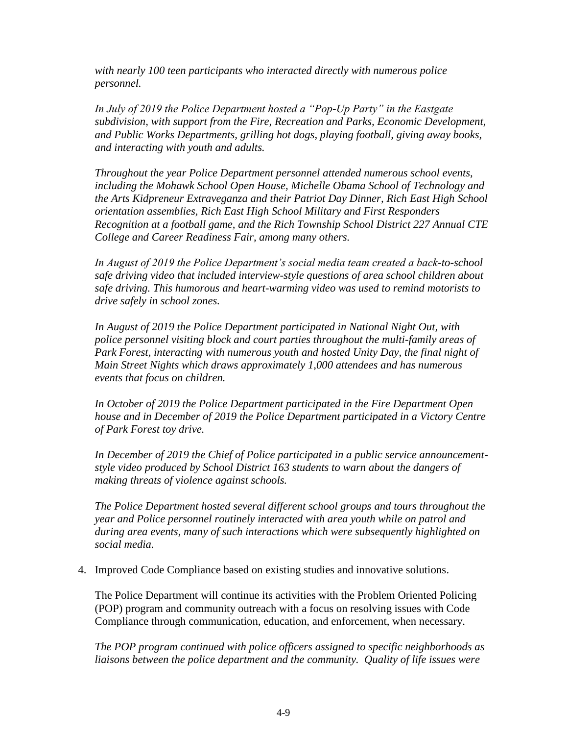*with nearly 100 teen participants who interacted directly with numerous police personnel.* 

*In July of 2019 the Police Department hosted a "Pop-Up Party" in the Eastgate subdivision, with support from the Fire, Recreation and Parks, Economic Development, and Public Works Departments, grilling hot dogs, playing football, giving away books, and interacting with youth and adults.* 

*Throughout the year Police Department personnel attended numerous school events, including the Mohawk School Open House, Michelle Obama School of Technology and the Arts Kidpreneur Extraveganza and their Patriot Day Dinner, Rich East High School orientation assemblies, Rich East High School Military and First Responders Recognition at a football game, and the Rich Township School District 227 Annual CTE College and Career Readiness Fair, among many others.* 

*In August of 2019 the Police Department's social media team created a back-to-school safe driving video that included interview-style questions of area school children about safe driving. This humorous and heart-warming video was used to remind motorists to drive safely in school zones.* 

*In August of 2019 the Police Department participated in National Night Out, with police personnel visiting block and court parties throughout the multi-family areas of Park Forest, interacting with numerous youth and hosted Unity Day, the final night of Main Street Nights which draws approximately 1,000 attendees and has numerous events that focus on children.* 

*In October of 2019 the Police Department participated in the Fire Department Open house and in December of 2019 the Police Department participated in a Victory Centre of Park Forest toy drive.* 

*In December of 2019 the Chief of Police participated in a public service announcementstyle video produced by School District 163 students to warn about the dangers of making threats of violence against schools.* 

*The Police Department hosted several different school groups and tours throughout the year and Police personnel routinely interacted with area youth while on patrol and during area events, many of such interactions which were subsequently highlighted on social media.* 

4. Improved Code Compliance based on existing studies and innovative solutions.

The Police Department will continue its activities with the Problem Oriented Policing (POP) program and community outreach with a focus on resolving issues with Code Compliance through communication, education, and enforcement, when necessary.

*The POP program continued with police officers assigned to specific neighborhoods as liaisons between the police department and the community. Quality of life issues were*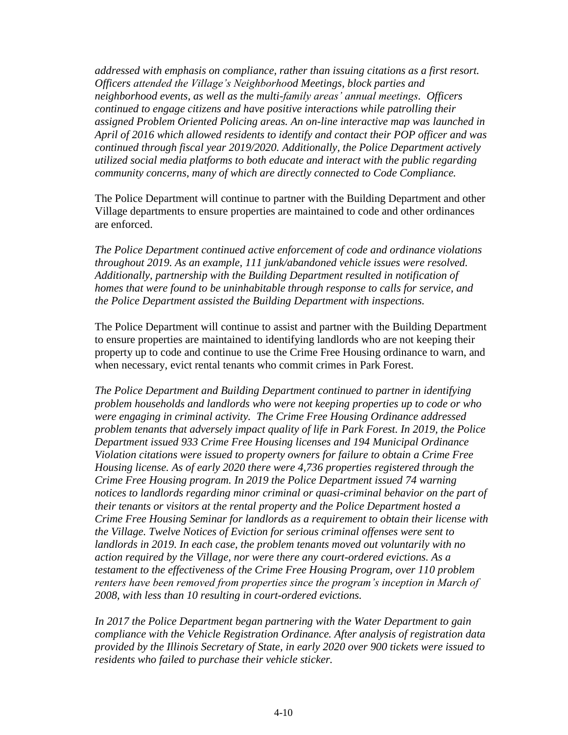*addressed with emphasis on compliance, rather than issuing citations as a first resort. Officers attended the Village's Neighborhood Meetings, block parties and neighborhood events, as well as the multi-family areas' annual meetings. Officers continued to engage citizens and have positive interactions while patrolling their assigned Problem Oriented Policing areas. An on-line interactive map was launched in April of 2016 which allowed residents to identify and contact their POP officer and was continued through fiscal year 2019/2020. Additionally, the Police Department actively utilized social media platforms to both educate and interact with the public regarding community concerns, many of which are directly connected to Code Compliance.*

The Police Department will continue to partner with the Building Department and other Village departments to ensure properties are maintained to code and other ordinances are enforced.

*The Police Department continued active enforcement of code and ordinance violations throughout 2019. As an example, 111 junk/abandoned vehicle issues were resolved. Additionally, partnership with the Building Department resulted in notification of homes that were found to be uninhabitable through response to calls for service, and the Police Department assisted the Building Department with inspections.* 

The Police Department will continue to assist and partner with the Building Department to ensure properties are maintained to identifying landlords who are not keeping their property up to code and continue to use the Crime Free Housing ordinance to warn, and when necessary, evict rental tenants who commit crimes in Park Forest.

*The Police Department and Building Department continued to partner in identifying problem households and landlords who were not keeping properties up to code or who were engaging in criminal activity. The Crime Free Housing Ordinance addressed problem tenants that adversely impact quality of life in Park Forest. In 2019, the Police Department issued 933 Crime Free Housing licenses and 194 Municipal Ordinance Violation citations were issued to property owners for failure to obtain a Crime Free Housing license. As of early 2020 there were 4,736 properties registered through the Crime Free Housing program. In 2019 the Police Department issued 74 warning notices to landlords regarding minor criminal or quasi-criminal behavior on the part of their tenants or visitors at the rental property and the Police Department hosted a Crime Free Housing Seminar for landlords as a requirement to obtain their license with the Village. Twelve Notices of Eviction for serious criminal offenses were sent to landlords in 2019. In each case, the problem tenants moved out voluntarily with no action required by the Village, nor were there any court-ordered evictions. As a testament to the effectiveness of the Crime Free Housing Program, over 110 problem renters have been removed from properties since the program's inception in March of 2008, with less than 10 resulting in court-ordered evictions.*

*In 2017 the Police Department began partnering with the Water Department to gain compliance with the Vehicle Registration Ordinance. After analysis of registration data provided by the Illinois Secretary of State, in early 2020 over 900 tickets were issued to residents who failed to purchase their vehicle sticker.*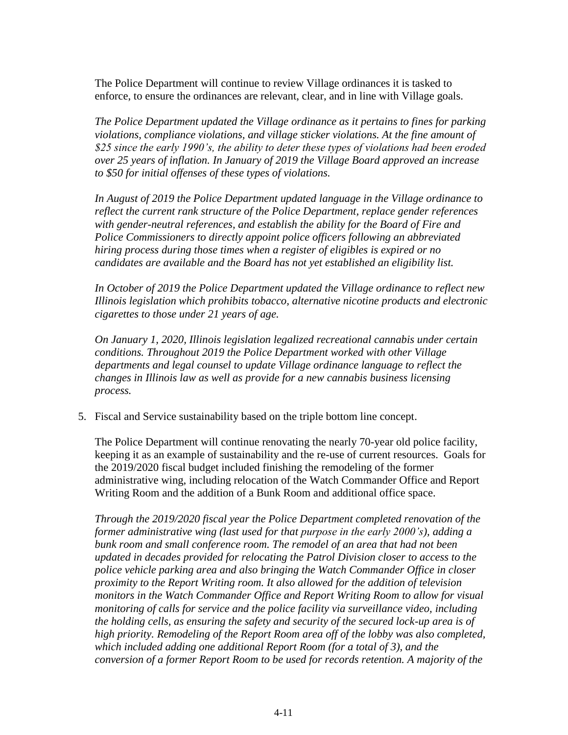The Police Department will continue to review Village ordinances it is tasked to enforce, to ensure the ordinances are relevant, clear, and in line with Village goals.

*The Police Department updated the Village ordinance as it pertains to fines for parking violations, compliance violations, and village sticker violations. At the fine amount of \$25 since the early 1990's, the ability to deter these types of violations had been eroded over 25 years of inflation. In January of 2019 the Village Board approved an increase to \$50 for initial offenses of these types of violations.* 

*In August of 2019 the Police Department updated language in the Village ordinance to reflect the current rank structure of the Police Department, replace gender references with gender-neutral references, and establish the ability for the Board of Fire and Police Commissioners to directly appoint police officers following an abbreviated hiring process during those times when a register of eligibles is expired or no candidates are available and the Board has not yet established an eligibility list.*

*In October of 2019 the Police Department updated the Village ordinance to reflect new Illinois legislation which prohibits tobacco, alternative nicotine products and electronic cigarettes to those under 21 years of age.*

*On January 1, 2020, Illinois legislation legalized recreational cannabis under certain conditions. Throughout 2019 the Police Department worked with other Village departments and legal counsel to update Village ordinance language to reflect the changes in Illinois law as well as provide for a new cannabis business licensing process.* 

5. Fiscal and Service sustainability based on the triple bottom line concept.

The Police Department will continue renovating the nearly 70-year old police facility, keeping it as an example of sustainability and the re-use of current resources. Goals for the 2019/2020 fiscal budget included finishing the remodeling of the former administrative wing, including relocation of the Watch Commander Office and Report Writing Room and the addition of a Bunk Room and additional office space.

*Through the 2019/2020 fiscal year the Police Department completed renovation of the former administrative wing (last used for that purpose in the early 2000's), adding a bunk room and small conference room. The remodel of an area that had not been updated in decades provided for relocating the Patrol Division closer to access to the police vehicle parking area and also bringing the Watch Commander Office in closer proximity to the Report Writing room. It also allowed for the addition of television monitors in the Watch Commander Office and Report Writing Room to allow for visual monitoring of calls for service and the police facility via surveillance video, including the holding cells, as ensuring the safety and security of the secured lock-up area is of high priority. Remodeling of the Report Room area off of the lobby was also completed, which included adding one additional Report Room (for a total of 3), and the conversion of a former Report Room to be used for records retention. A majority of the*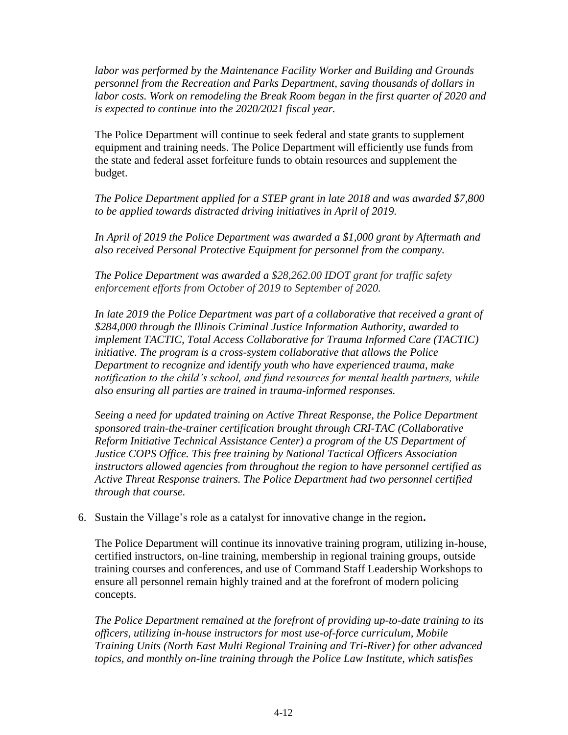*labor was performed by the Maintenance Facility Worker and Building and Grounds personnel from the Recreation and Parks Department, saving thousands of dollars in labor costs. Work on remodeling the Break Room began in the first quarter of 2020 and is expected to continue into the 2020/2021 fiscal year.* 

The Police Department will continue to seek federal and state grants to supplement equipment and training needs. The Police Department will efficiently use funds from the state and federal asset forfeiture funds to obtain resources and supplement the budget.

*The Police Department applied for a STEP grant in late 2018 and was awarded \$7,800 to be applied towards distracted driving initiatives in April of 2019.* 

In April of 2019 the Police Department was awarded a \$1,000 grant by Aftermath and *also received Personal Protective Equipment for personnel from the company.* 

*The Police Department was awarded a \$28,262.00 IDOT grant for traffic safety enforcement efforts from October of 2019 to September of 2020.*

*In late 2019 the Police Department was part of a collaborative that received a grant of \$284,000 through the Illinois Criminal Justice Information Authority, awarded to implement TACTIC, Total Access Collaborative for Trauma Informed Care (TACTIC) initiative. The program is a cross-system collaborative that allows the Police Department to recognize and identify youth who have experienced trauma, make notification to the child's school, and fund resources for mental health partners, while also ensuring all parties are trained in trauma-informed responses.* 

*Seeing a need for updated training on Active Threat Response, the Police Department sponsored train-the-trainer certification brought through CRI-TAC (Collaborative Reform Initiative Technical Assistance Center) a program of the US Department of Justice COPS Office. This free training by National Tactical Officers Association instructors allowed agencies from throughout the region to have personnel certified as Active Threat Response trainers. The Police Department had two personnel certified through that course.*

6. Sustain the Village's role as a catalyst for innovative change in the region**.** 

The Police Department will continue its innovative training program, utilizing in-house, certified instructors, on-line training, membership in regional training groups, outside training courses and conferences, and use of Command Staff Leadership Workshops to ensure all personnel remain highly trained and at the forefront of modern policing concepts.

*The Police Department remained at the forefront of providing up-to-date training to its officers, utilizing in-house instructors for most use-of-force curriculum, Mobile Training Units (North East Multi Regional Training and Tri-River) for other advanced topics, and monthly on-line training through the Police Law Institute, which satisfies*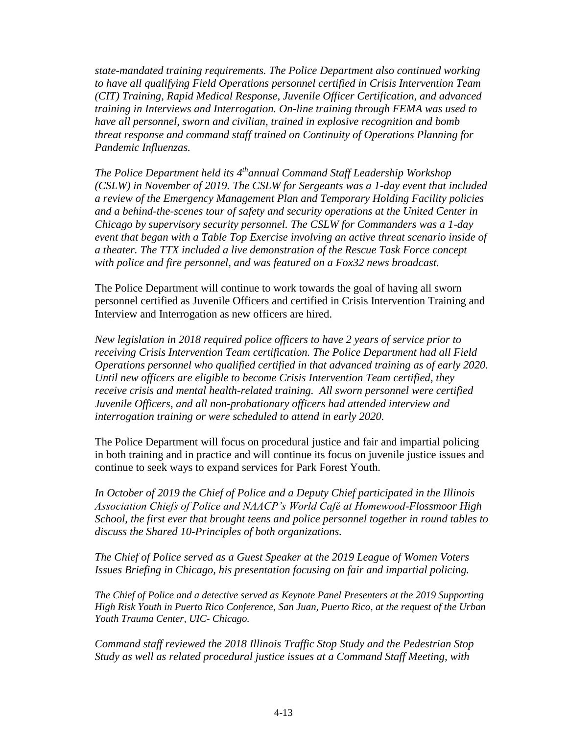*state-mandated training requirements. The Police Department also continued working to have all qualifying Field Operations personnel certified in Crisis Intervention Team (CIT) Training, Rapid Medical Response, Juvenile Officer Certification, and advanced training in Interviews and Interrogation. On-line training through FEMA was used to have all personnel, sworn and civilian, trained in explosive recognition and bomb threat response and command staff trained on Continuity of Operations Planning for Pandemic Influenzas.* 

*The Police Department held its 4 thannual Command Staff Leadership Workshop (CSLW) in November of 2019. The CSLW for Sergeants was a 1-day event that included a review of the Emergency Management Plan and Temporary Holding Facility policies and a behind-the-scenes tour of safety and security operations at the United Center in Chicago by supervisory security personnel. The CSLW for Commanders was a 1-day event that began with a Table Top Exercise involving an active threat scenario inside of a theater. The TTX included a live demonstration of the Rescue Task Force concept with police and fire personnel, and was featured on a Fox32 news broadcast.* 

The Police Department will continue to work towards the goal of having all sworn personnel certified as Juvenile Officers and certified in Crisis Intervention Training and Interview and Interrogation as new officers are hired.

*New legislation in 2018 required police officers to have 2 years of service prior to receiving Crisis Intervention Team certification. The Police Department had all Field Operations personnel who qualified certified in that advanced training as of early 2020. Until new officers are eligible to become Crisis Intervention Team certified, they receive crisis and mental health-related training. All sworn personnel were certified Juvenile Officers, and all non-probationary officers had attended interview and interrogation training or were scheduled to attend in early 2020.*

The Police Department will focus on procedural justice and fair and impartial policing in both training and in practice and will continue its focus on juvenile justice issues and continue to seek ways to expand services for Park Forest Youth.

*In October of 2019 the Chief of Police and a Deputy Chief participated in the Illinois Association Chiefs of Police and NAACP's World Café at Homewood-Flossmoor High School, the first ever that brought teens and police personnel together in round tables to discuss the Shared 10-Principles of both organizations.*

*The Chief of Police served as a Guest Speaker at the 2019 League of Women Voters Issues Briefing in Chicago, his presentation focusing on fair and impartial policing.* 

*The Chief of Police and a detective served as Keynote Panel Presenters at the 2019 Supporting High Risk Youth in Puerto Rico Conference, San Juan, Puerto Rico, at the request of the Urban Youth Trauma Center, UIC- Chicago.* 

*Command staff reviewed the 2018 Illinois Traffic Stop Study and the Pedestrian Stop Study as well as related procedural justice issues at a Command Staff Meeting, with*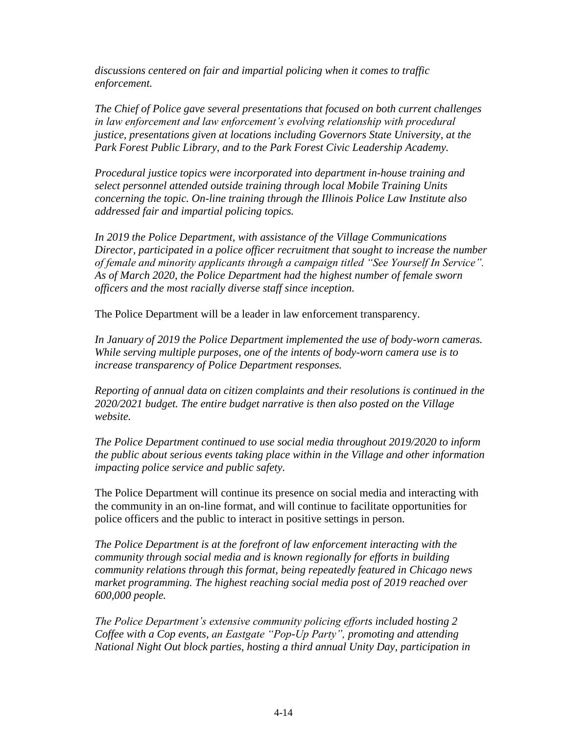*discussions centered on fair and impartial policing when it comes to traffic enforcement.* 

*The Chief of Police gave several presentations that focused on both current challenges in law enforcement and law enforcement's evolving relationship with procedural justice, presentations given at locations including Governors State University, at the Park Forest Public Library, and to the Park Forest Civic Leadership Academy.* 

*Procedural justice topics were incorporated into department in-house training and select personnel attended outside training through local Mobile Training Units concerning the topic. On-line training through the Illinois Police Law Institute also addressed fair and impartial policing topics.*

*In 2019 the Police Department, with assistance of the Village Communications Director, participated in a police officer recruitment that sought to increase the number of female and minority applicants through a campaign titled "See Yourself In Service". As of March 2020, the Police Department had the highest number of female sworn officers and the most racially diverse staff since inception.* 

The Police Department will be a leader in law enforcement transparency.

*In January of 2019 the Police Department implemented the use of body-worn cameras. While serving multiple purposes, one of the intents of body-worn camera use is to increase transparency of Police Department responses.* 

*Reporting of annual data on citizen complaints and their resolutions is continued in the 2020/2021 budget. The entire budget narrative is then also posted on the Village website.* 

*The Police Department continued to use social media throughout 2019/2020 to inform the public about serious events taking place within in the Village and other information impacting police service and public safety.* 

The Police Department will continue its presence on social media and interacting with the community in an on-line format, and will continue to facilitate opportunities for police officers and the public to interact in positive settings in person.

*The Police Department is at the forefront of law enforcement interacting with the community through social media and is known regionally for efforts in building community relations through this format, being repeatedly featured in Chicago news market programming. The highest reaching social media post of 2019 reached over 600,000 people.* 

*The Police Department's extensive community policing efforts included hosting 2 Coffee with a Cop events, an Eastgate "Pop-Up Party", promoting and attending National Night Out block parties, hosting a third annual Unity Day, participation in*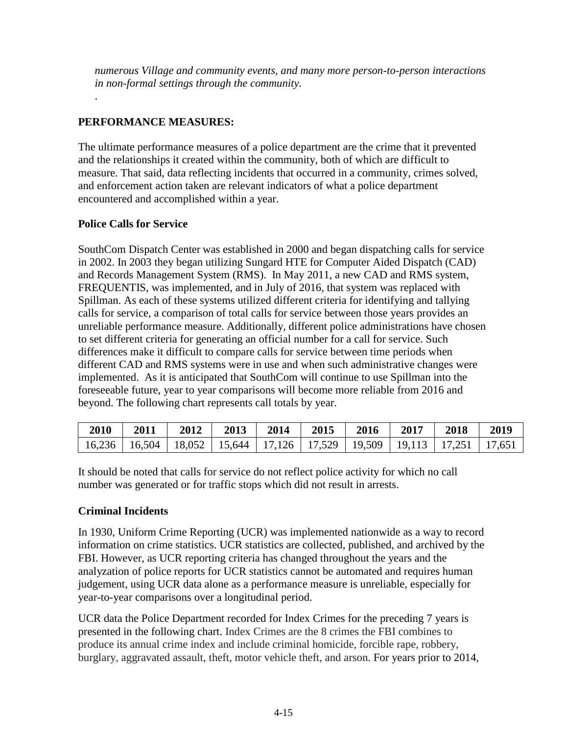*numerous Village and community events, and many more person-to-person interactions in non-formal settings through the community.* 

# **PERFORMANCE MEASURES:**

The ultimate performance measures of a police department are the crime that it prevented and the relationships it created within the community, both of which are difficult to measure. That said, data reflecting incidents that occurred in a community, crimes solved, and enforcement action taken are relevant indicators of what a police department encountered and accomplished within a year.

### **Police Calls for Service**

.

SouthCom Dispatch Center was established in 2000 and began dispatching calls for service in 2002. In 2003 they began utilizing Sungard HTE for Computer Aided Dispatch (CAD) and Records Management System (RMS). In May 2011, a new CAD and RMS system, FREQUENTIS, was implemented, and in July of 2016, that system was replaced with Spillman. As each of these systems utilized different criteria for identifying and tallying calls for service, a comparison of total calls for service between those years provides an unreliable performance measure. Additionally, different police administrations have chosen to set different criteria for generating an official number for a call for service. Such differences make it difficult to compare calls for service between time periods when different CAD and RMS systems were in use and when such administrative changes were implemented. As it is anticipated that SouthCom will continue to use Spillman into the foreseeable future, year to year comparisons will become more reliable from 2016 and beyond. The following chart represents call totals by year.

| 2010                                                                                    | 2011 | 2012 | 2013 | 2014 | 2015 | 2016 | 2017 | 2018 | 2019 |
|-----------------------------------------------------------------------------------------|------|------|------|------|------|------|------|------|------|
| 16,236   16,504   18,052   15,644   17,126   17,529   19,509   19,113   17,251   17,651 |      |      |      |      |      |      |      |      |      |

It should be noted that calls for service do not reflect police activity for which no call number was generated or for traffic stops which did not result in arrests.

### **Criminal Incidents**

In 1930, Uniform Crime Reporting (UCR) was implemented nationwide as a way to record information on crime statistics. UCR statistics are collected, published, and archived by the FBI. However, as UCR reporting criteria has changed throughout the years and the analyzation of police reports for UCR statistics cannot be automated and requires human judgement, using UCR data alone as a performance measure is unreliable, especially for year-to-year comparisons over a longitudinal period.

UCR data the Police Department recorded for Index Crimes for the preceding 7 years is presented in the following chart. Index Crimes are the 8 crimes the FBI combines to produce its annual crime index and include criminal homicide, forcible rape, robbery, burglary, aggravated assault, theft, motor vehicle theft, and arson. For years prior to 2014,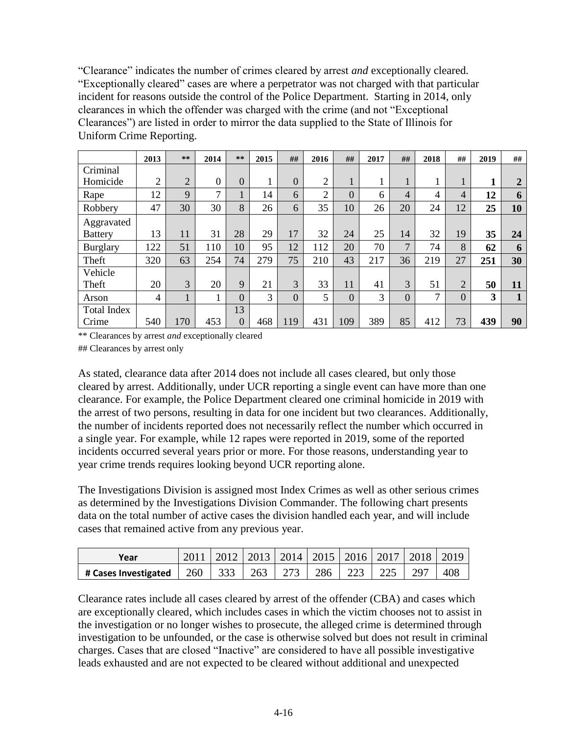"Clearance" indicates the number of crimes cleared by arrest *and* exceptionally cleared. "Exceptionally cleared" cases are where a perpetrator was not charged with that particular incident for reasons outside the control of the Police Department. Starting in 2014, only clearances in which the offender was charged with the crime (and not "Exceptional Clearances") are listed in order to mirror the data supplied to the State of Illinois for Uniform Crime Reporting.

|                    | 2013           | **             | 2014     | **             | 2015 | ##             | 2016           | ##             | 2017 | ##             | 2018 | ##             | 2019 | ##             |
|--------------------|----------------|----------------|----------|----------------|------|----------------|----------------|----------------|------|----------------|------|----------------|------|----------------|
| Criminal           |                |                |          |                |      |                |                |                |      |                |      |                |      |                |
| Homicide           | $\overline{2}$ | $\overline{2}$ | $\Omega$ | $\overline{0}$ | 1    | $\overline{0}$ | $\overline{2}$ |                |      |                | T.   | 1<br>T         |      | $\overline{2}$ |
| Rape               | 12             | 9              | 7        |                | 14   | 6              | $\overline{2}$ | $\overline{0}$ | 6    | $\overline{4}$ | 4    | $\overline{4}$ | 12   | 6              |
| Robbery            | 47             | 30             | 30       | 8              | 26   | 6              | 35             | 10             | 26   | 20             | 24   | 12             | 25   | 10             |
| Aggravated         |                |                |          |                |      |                |                |                |      |                |      |                |      |                |
| <b>Battery</b>     | 13             | 11             | 31       | 28             | 29   | 17             | 32             | 24             | 25   | 14             | 32   | 19             | 35   | 24             |
| <b>Burglary</b>    | 122            | 51             | 110      | 10             | 95   | 12             | 112            | 20             | 70   | 7              | 74   | 8              | 62   | 6              |
| Theft              | 320            | 63             | 254      | 74             | 279  | 75             | 210            | 43             | 217  | 36             | 219  | 27             | 251  | 30             |
| Vehicle            |                |                |          |                |      |                |                |                |      |                |      |                |      |                |
| Theft              | 20             | 3              | 20       | 9              | 21   | 3              | 33             | 11             | 41   | 3              | 51   | $\overline{2}$ | 50   | 11             |
| Arson              | 4              | $\mathbf{1}$   |          | $\overline{0}$ | 3    | $\overline{0}$ | 5              | $\overline{0}$ | 3    | $\overline{0}$ | 7    | $\overline{0}$ | 3    | 1              |
| <b>Total Index</b> |                |                |          | 13             |      |                |                |                |      |                |      |                |      |                |
| Crime              | 540            | 170            | 453      | $\Omega$       | 468  | 119            | 431            | 109            | 389  | 85             | 412  | 73             | 439  | 90             |

\*\* Clearances by arrest *and* exceptionally cleared

## Clearances by arrest only

As stated, clearance data after 2014 does not include all cases cleared, but only those cleared by arrest. Additionally, under UCR reporting a single event can have more than one clearance. For example, the Police Department cleared one criminal homicide in 2019 with the arrest of two persons, resulting in data for one incident but two clearances. Additionally, the number of incidents reported does not necessarily reflect the number which occurred in a single year. For example, while 12 rapes were reported in 2019, some of the reported incidents occurred several years prior or more. For those reasons, understanding year to year crime trends requires looking beyond UCR reporting alone.

The Investigations Division is assigned most Index Crimes as well as other serious crimes as determined by the Investigations Division Commander. The following chart presents data on the total number of active cases the division handled each year, and will include cases that remained active from any previous year.

| Year                                               |  | 2011   2012   2013   2014   2015   2016   2017   2018   2019 |            |     |     |     |
|----------------------------------------------------|--|--------------------------------------------------------------|------------|-----|-----|-----|
| # Cases Investigated   260   333   263   273   286 |  |                                                              | $\mid$ 223 | 225 | 297 | 408 |

Clearance rates include all cases cleared by arrest of the offender (CBA) and cases which are exceptionally cleared, which includes cases in which the victim chooses not to assist in the investigation or no longer wishes to prosecute, the alleged crime is determined through investigation to be unfounded, or the case is otherwise solved but does not result in criminal charges. Cases that are closed "Inactive" are considered to have all possible investigative leads exhausted and are not expected to be cleared without additional and unexpected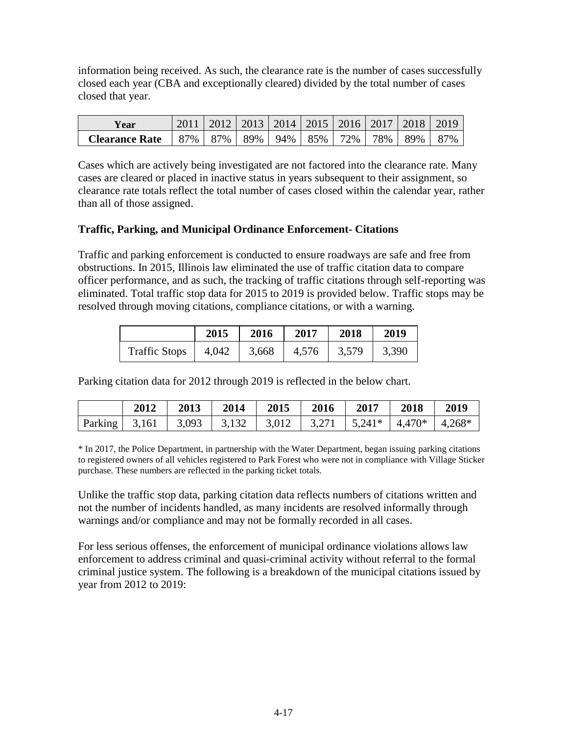information being received. As such, the clearance rate is the number of cases successfully closed each year (CBA and exceptionally cleared) divided by the total number of cases closed that year.

| Year                                                                        |  |  |  | 2011   2012   2013   2014   2015   2016   2017   2018   2019 |  |
|-----------------------------------------------------------------------------|--|--|--|--------------------------------------------------------------|--|
| <b>Clearance Rate</b>   87%   87%   89%   94%   85%   72%   78%   89%   87% |  |  |  |                                                              |  |

Cases which are actively being investigated are not factored into the clearance rate. Many cases are cleared or placed in inactive status in years subsequent to their assignment, so clearance rate totals reflect the total number of cases closed within the calendar year, rather than all of those assigned.

### **Traffic, Parking, and Municipal Ordinance Enforcement- Citations**

Traffic and parking enforcement is conducted to ensure roadways are safe and free from obstructions. In 2015, Illinois law eliminated the use of traffic citation data to compare officer performance, and as such, the tracking of traffic citations through self-reporting was eliminated. Total traffic stop data for 2015 to 2019 is provided below. Traffic stops may be resolved through moving citations, compliance citations, or with a warning.

|                      | 2015  | 2016  | 2017  | 2018  | 2019  |
|----------------------|-------|-------|-------|-------|-------|
| <b>Traffic Stops</b> | 4,042 | 3,668 | 4,576 | 3,579 | 3,390 |

Parking citation data for 2012 through 2019 is reflected in the below chart.

|                                                                                                                | 2012 | $\begin{array}{c} \n \text{2013} \\ \n \end{array}$ | 2014 | 2015 | 2016   2017   2018 | 2019 |
|----------------------------------------------------------------------------------------------------------------|------|-----------------------------------------------------|------|------|--------------------|------|
| Parking   3,161   3,093   3,132   3,012   3,271   5,241 <sup>*</sup>   4,470 <sup>*</sup>   4,268 <sup>*</sup> |      |                                                     |      |      |                    |      |

\* In 2017, the Police Department, in partnership with the Water Department, began issuing parking citations to registered owners of all vehicles registered to Park Forest who were not in compliance with Village Sticker purchase. These numbers are reflected in the parking ticket totals.

Unlike the traffic stop data, parking citation data reflects numbers of citations written and not the number of incidents handled, as many incidents are resolved informally through warnings and/or compliance and may not be formally recorded in all cases.

For less serious offenses, the enforcement of municipal ordinance violations allows law enforcement to address criminal and quasi-criminal activity without referral to the formal criminal justice system. The following is a breakdown of the municipal citations issued by year from 2012 to 2019: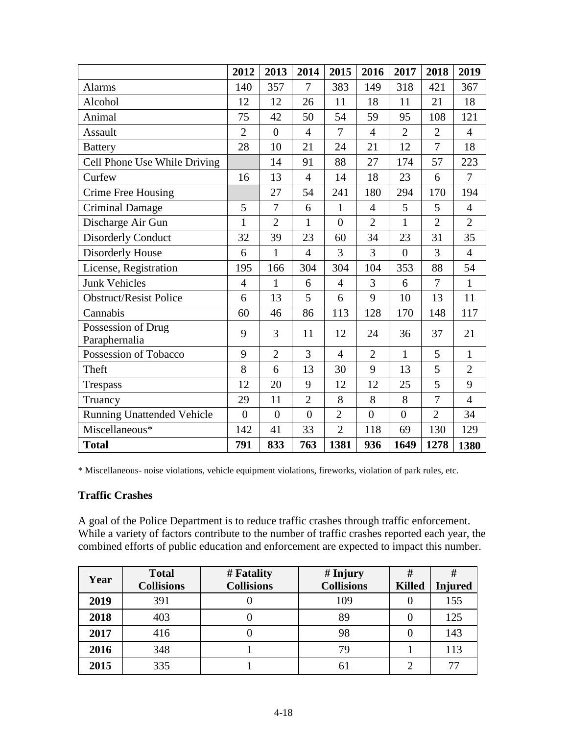|                                     | 2012           | 2013           | 2014           | 2015           | 2016           | 2017           | 2018           | 2019           |
|-------------------------------------|----------------|----------------|----------------|----------------|----------------|----------------|----------------|----------------|
| <b>Alarms</b>                       | 140            | 357            | 7              | 383            | 149            | 318            | 421            | 367            |
| Alcohol                             | 12             | 12             | 26             | 11             | 18             | 11             | 21             | 18             |
| Animal                              | 75             | 42             | 50             | 54             | 59             | 95             | 108            | 121            |
| Assault                             | $\overline{2}$ | $\overline{0}$ | $\overline{4}$ | $\tau$         | $\overline{4}$ | $\overline{2}$ | $\overline{2}$ | $\overline{4}$ |
| <b>Battery</b>                      | 28             | 10             | 21             | 24             | 21             | 12             | $\overline{7}$ | 18             |
| Cell Phone Use While Driving        |                | 14             | 91             | 88             | 27             | 174            | 57             | 223            |
| Curfew                              | 16             | 13             | $\overline{4}$ | 14             | 18             | 23             | 6              | $\overline{7}$ |
| Crime Free Housing                  |                | 27             | 54             | 241            | 180            | 294            | 170            | 194            |
| <b>Criminal Damage</b>              | 5              | 7              | 6              | $\mathbf{1}$   | $\overline{4}$ | 5              | 5              | $\overline{4}$ |
| Discharge Air Gun                   | $\mathbf{1}$   | $\overline{2}$ | $\mathbf{1}$   | $\overline{0}$ | $\overline{2}$ | $\mathbf{1}$   | $\overline{2}$ | $\overline{2}$ |
| <b>Disorderly Conduct</b>           | 32             | 39             | 23             | 60             | 34             | 23             | 31             | 35             |
| Disorderly House                    | 6              | $\mathbf{1}$   | $\overline{4}$ | 3              | 3              | $\overline{0}$ | 3              | $\overline{4}$ |
| License, Registration               | 195            | 166            | 304            | 304            | 104            | 353            | 88             | 54             |
| <b>Junk Vehicles</b>                | $\overline{4}$ | $\mathbf{1}$   | 6              | $\overline{4}$ | 3              | 6              | 7              | $\mathbf{1}$   |
| <b>Obstruct/Resist Police</b>       | 6              | 13             | 5              | 6              | 9              | 10             | 13             | 11             |
| Cannabis                            | 60             | 46             | 86             | 113            | 128            | 170            | 148            | 117            |
| Possession of Drug<br>Paraphernalia | 9              | 3              | 11             | 12             | 24             | 36             | 37             | 21             |
| Possession of Tobacco               | 9              | $\overline{2}$ | 3              | $\overline{4}$ | $\overline{2}$ | $\mathbf{1}$   | 5              | $\mathbf{1}$   |
| Theft                               | 8              | 6              | 13             | 30             | 9              | 13             | 5              | $\overline{2}$ |
| <b>Trespass</b>                     | 12             | 20             | 9              | 12             | 12             | 25             | 5              | 9              |
| Truancy                             | 29             | 11             | $\overline{2}$ | 8              | 8              | 8              | $\overline{7}$ | $\overline{4}$ |
| <b>Running Unattended Vehicle</b>   | $\overline{0}$ | $\overline{0}$ | $\overline{0}$ | $\overline{2}$ | $\overline{0}$ | $\overline{0}$ | $\overline{2}$ | 34             |
| Miscellaneous*                      | 142            | 41             | 33             | $\overline{2}$ | 118            | 69             | 130            | 129            |
| <b>Total</b>                        | 791            | 833            | 763            | 1381           | 936            | 1649           | 1278           | 1380           |

\* Miscellaneous- noise violations, vehicle equipment violations, fireworks, violation of park rules, etc.

#### **Traffic Crashes**

A goal of the Police Department is to reduce traffic crashes through traffic enforcement. While a variety of factors contribute to the number of traffic crashes reported each year, the combined efforts of public education and enforcement are expected to impact this number.

| Year | <b>Total</b><br><b>Collisions</b> | # Fatality<br><b>Collisions</b> | # Injury<br><b>Collisions</b> | #<br><b>Killed</b> | #<br><b>Injured</b> |
|------|-----------------------------------|---------------------------------|-------------------------------|--------------------|---------------------|
| 2019 | 391                               |                                 | 109                           | U                  | 155                 |
| 2018 | 403                               |                                 | 89                            |                    | 125                 |
| 2017 | 416                               |                                 | 98                            | 0                  | 143                 |
| 2016 | 348                               |                                 | 79                            |                    | 113                 |
| 2015 | 335                               |                                 | 61                            |                    | 77                  |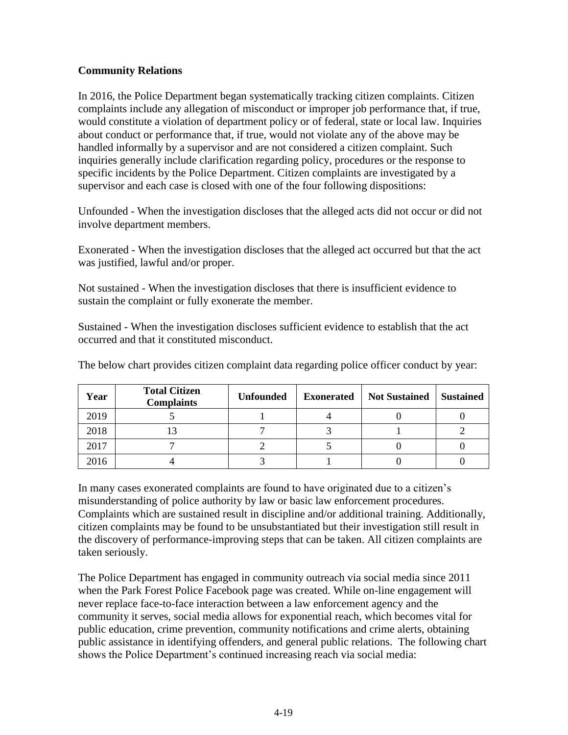### **Community Relations**

In 2016, the Police Department began systematically tracking citizen complaints. Citizen complaints include any allegation of misconduct or improper job performance that, if true, would constitute a violation of department policy or of federal, state or local law. Inquiries about conduct or performance that, if true, would not violate any of the above may be handled informally by a supervisor and are not considered a citizen complaint. Such inquiries generally include clarification regarding policy, procedures or the response to specific incidents by the Police Department. Citizen complaints are investigated by a supervisor and each case is closed with one of the four following dispositions:

Unfounded - When the investigation discloses that the alleged acts did not occur or did not involve department members.

Exonerated - When the investigation discloses that the alleged act occurred but that the act was justified, lawful and/or proper.

Not sustained - When the investigation discloses that there is insufficient evidence to sustain the complaint or fully exonerate the member.

Sustained - When the investigation discloses sufficient evidence to establish that the act occurred and that it constituted misconduct.

| Year | <b>Total Citizen</b><br><b>Complaints</b> | <b>Unfounded</b> | <b>Exonerated</b> | <b>Not Sustained</b> | <b>Sustained</b> |
|------|-------------------------------------------|------------------|-------------------|----------------------|------------------|
| 2019 |                                           |                  |                   |                      |                  |
| 2018 |                                           |                  |                   |                      |                  |
| 2017 |                                           |                  |                   |                      |                  |
| 2016 |                                           |                  |                   |                      |                  |

The below chart provides citizen complaint data regarding police officer conduct by year:

In many cases exonerated complaints are found to have originated due to a citizen's misunderstanding of police authority by law or basic law enforcement procedures. Complaints which are sustained result in discipline and/or additional training. Additionally, citizen complaints may be found to be unsubstantiated but their investigation still result in the discovery of performance-improving steps that can be taken. All citizen complaints are taken seriously.

The Police Department has engaged in community outreach via social media since 2011 when the Park Forest Police Facebook page was created. While on-line engagement will never replace face-to-face interaction between a law enforcement agency and the community it serves, social media allows for exponential reach, which becomes vital for public education, crime prevention, community notifications and crime alerts, obtaining public assistance in identifying offenders, and general public relations. The following chart shows the Police Department's continued increasing reach via social media: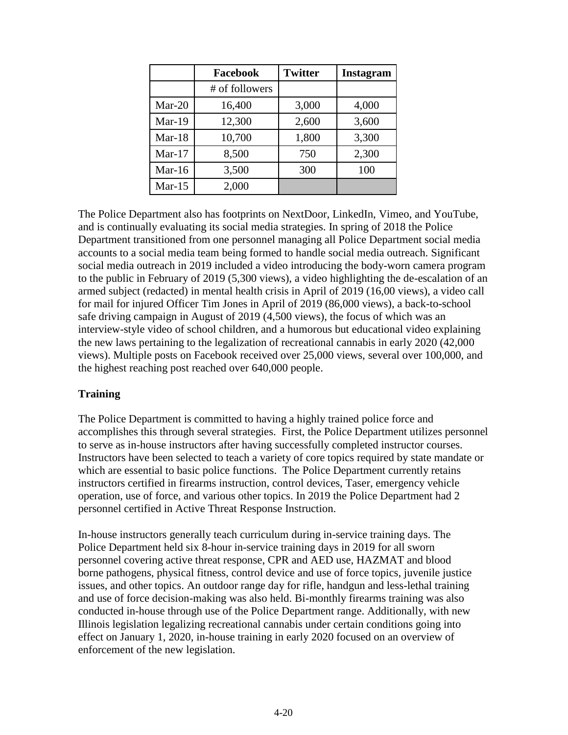|           | Facebook       | <b>Twitter</b> | Instagram |
|-----------|----------------|----------------|-----------|
|           | # of followers |                |           |
| $Mar-20$  | 16,400         | 3,000          | 4,000     |
| Mar-19    | 12,300         | 2,600          | 3,600     |
| $Mar-18$  | 10,700         | 1,800          | 3,300     |
| Mar- $17$ | 8,500          | 750            | 2,300     |
| Mar-16    | 3,500          | 300            | 100       |
| Mar- $15$ | 2,000          |                |           |

The Police Department also has footprints on NextDoor, LinkedIn, Vimeo, and YouTube, and is continually evaluating its social media strategies. In spring of 2018 the Police Department transitioned from one personnel managing all Police Department social media accounts to a social media team being formed to handle social media outreach. Significant social media outreach in 2019 included a video introducing the body-worn camera program to the public in February of 2019 (5,300 views), a video highlighting the de-escalation of an armed subject (redacted) in mental health crisis in April of 2019 (16,00 views), a video call for mail for injured Officer Tim Jones in April of 2019 (86,000 views), a back-to-school safe driving campaign in August of 2019 (4,500 views), the focus of which was an interview-style video of school children, and a humorous but educational video explaining the new laws pertaining to the legalization of recreational cannabis in early 2020 (42,000 views). Multiple posts on Facebook received over 25,000 views, several over 100,000, and the highest reaching post reached over 640,000 people.

#### **Training**

The Police Department is committed to having a highly trained police force and accomplishes this through several strategies. First, the Police Department utilizes personnel to serve as in-house instructors after having successfully completed instructor courses. Instructors have been selected to teach a variety of core topics required by state mandate or which are essential to basic police functions. The Police Department currently retains instructors certified in firearms instruction, control devices, Taser, emergency vehicle operation, use of force, and various other topics. In 2019 the Police Department had 2 personnel certified in Active Threat Response Instruction.

In-house instructors generally teach curriculum during in-service training days. The Police Department held six 8-hour in-service training days in 2019 for all sworn personnel covering active threat response, CPR and AED use, HAZMAT and blood borne pathogens, physical fitness, control device and use of force topics, juvenile justice issues, and other topics. An outdoor range day for rifle, handgun and less-lethal training and use of force decision-making was also held. Bi-monthly firearms training was also conducted in-house through use of the Police Department range. Additionally, with new Illinois legislation legalizing recreational cannabis under certain conditions going into effect on January 1, 2020, in-house training in early 2020 focused on an overview of enforcement of the new legislation.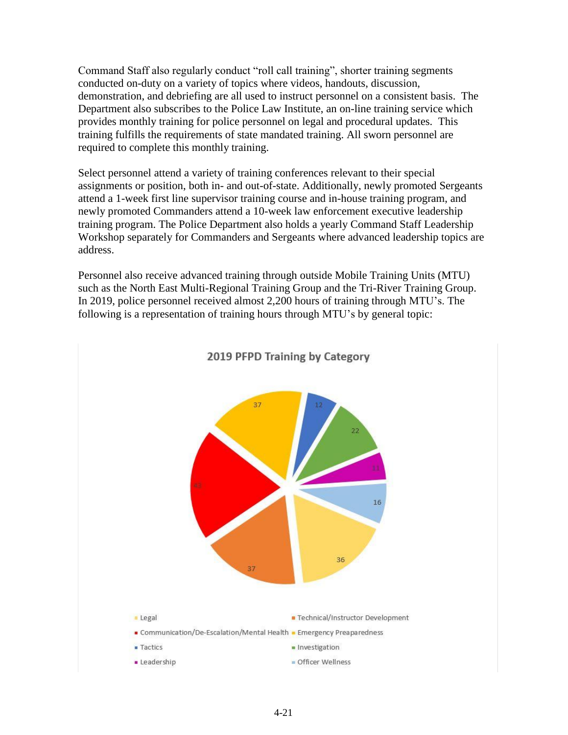Command Staff also regularly conduct "roll call training", shorter training segments conducted on-duty on a variety of topics where videos, handouts, discussion, demonstration, and debriefing are all used to instruct personnel on a consistent basis. The Department also subscribes to the Police Law Institute, an on-line training service which provides monthly training for police personnel on legal and procedural updates. This training fulfills the requirements of state mandated training. All sworn personnel are required to complete this monthly training.

Select personnel attend a variety of training conferences relevant to their special assignments or position, both in- and out-of-state. Additionally, newly promoted Sergeants attend a 1-week first line supervisor training course and in-house training program, and newly promoted Commanders attend a 10-week law enforcement executive leadership training program. The Police Department also holds a yearly Command Staff Leadership Workshop separately for Commanders and Sergeants where advanced leadership topics are address.

Personnel also receive advanced training through outside Mobile Training Units (MTU) such as the North East Multi-Regional Training Group and the Tri-River Training Group. In 2019, police personnel received almost 2,200 hours of training through MTU's. The following is a representation of training hours through MTU's by general topic:



#### 2019 PFPD Training by Category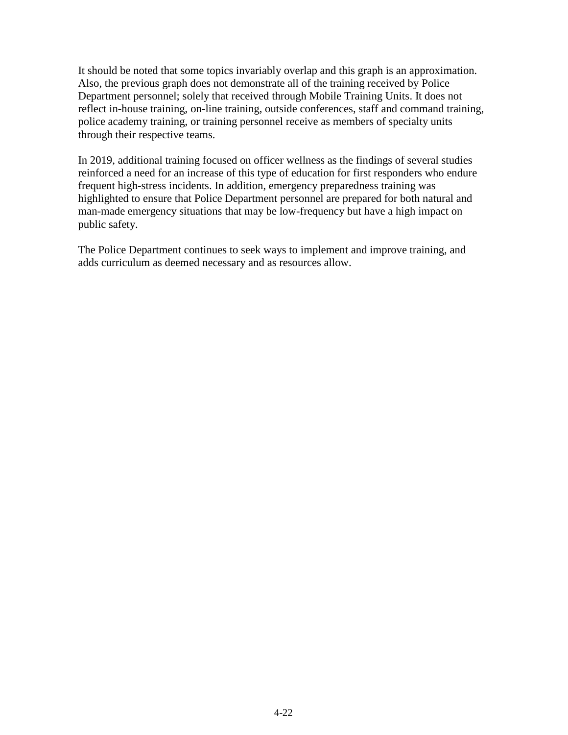It should be noted that some topics invariably overlap and this graph is an approximation. Also, the previous graph does not demonstrate all of the training received by Police Department personnel; solely that received through Mobile Training Units. It does not reflect in-house training, on-line training, outside conferences, staff and command training, police academy training, or training personnel receive as members of specialty units through their respective teams.

In 2019, additional training focused on officer wellness as the findings of several studies reinforced a need for an increase of this type of education for first responders who endure frequent high-stress incidents. In addition, emergency preparedness training was highlighted to ensure that Police Department personnel are prepared for both natural and man-made emergency situations that may be low-frequency but have a high impact on public safety.

The Police Department continues to seek ways to implement and improve training, and adds curriculum as deemed necessary and as resources allow.